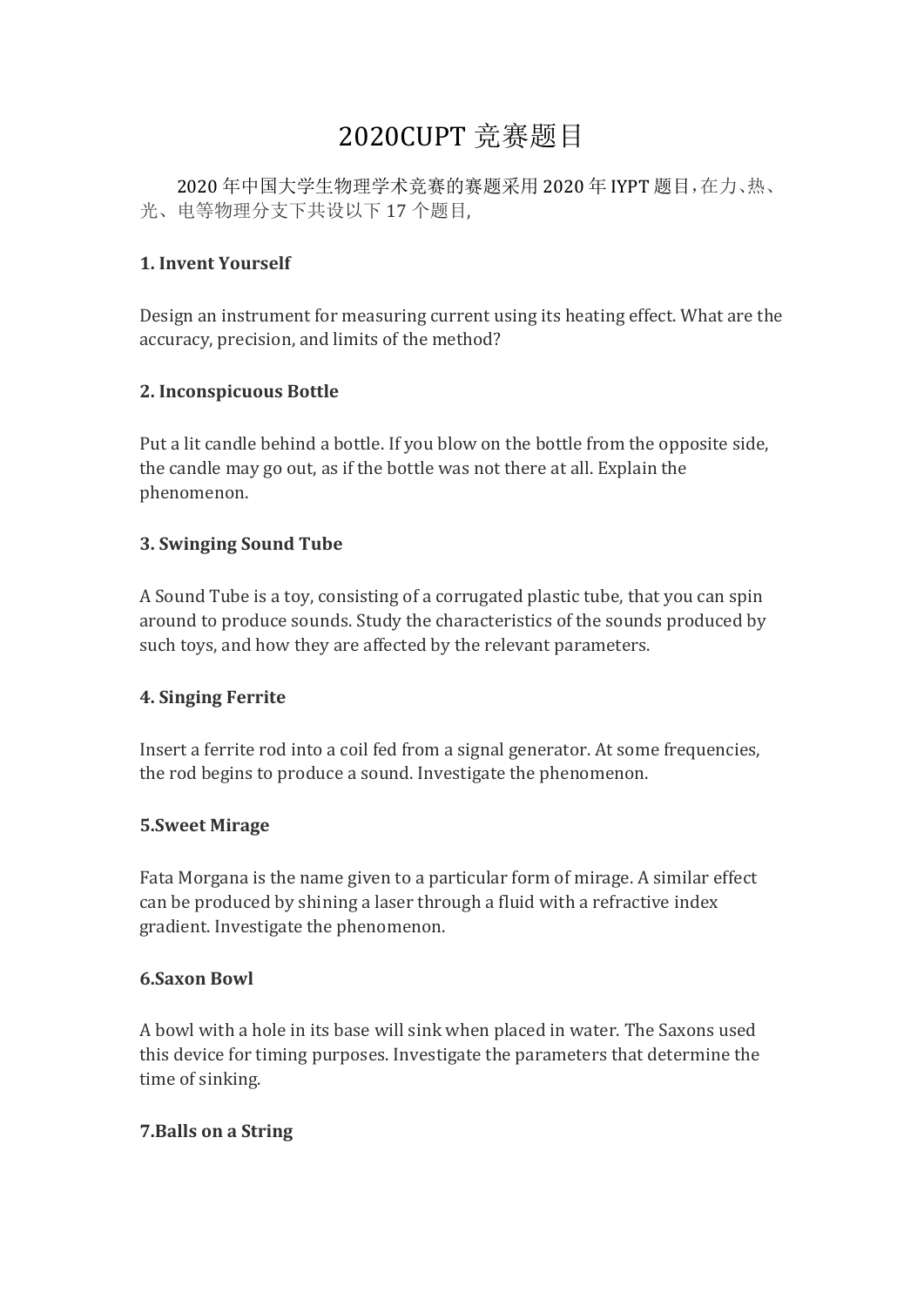# 2020CUPT 竞赛题目

2020 年中国大学生物理学术竞赛的赛题采用 2020 年 IYPT 题目,在力、热、 光、电等物理分支下共设以下 17 个题目,

#### **1. Invent Yourself**

Design an instrument for measuring current using its heating effect. What are the accuracy, precision, and limits of the method?

## **2. Inconspicuous Bottle**

Put a lit candle behind a bottle. If you blow on the bottle from the opposite side, the candle may go out, as if the bottle was not there at all. Explain the phenomenon.

#### **3. Swinging Sound Tube**

A Sound Tube is a toy, consisting of a corrugated plastic tube, that you can spin around to produce sounds. Study the characteristics of the sounds produced by such toys, and how they are affected by the relevant parameters.

#### **4. Singing Ferrite**

Insert a ferrite rod into a coil fed from a signal generator. At some frequencies, the rod begins to produce a sound. Investigate the phenomenon.

#### **5.Sweet Mirage**

Fata Morgana is the name given to a particular form of mirage. A similar effect can be produced by shining a laser through a fluid with a refractive index gradient. Investigate the phenomenon.

#### **6.Saxon Bowl**

A bowl with a hole in its base will sink when placed in water. The Saxons used this device for timing purposes. Investigate the parameters that determine the time of sinking.

#### **7.Balls on a String**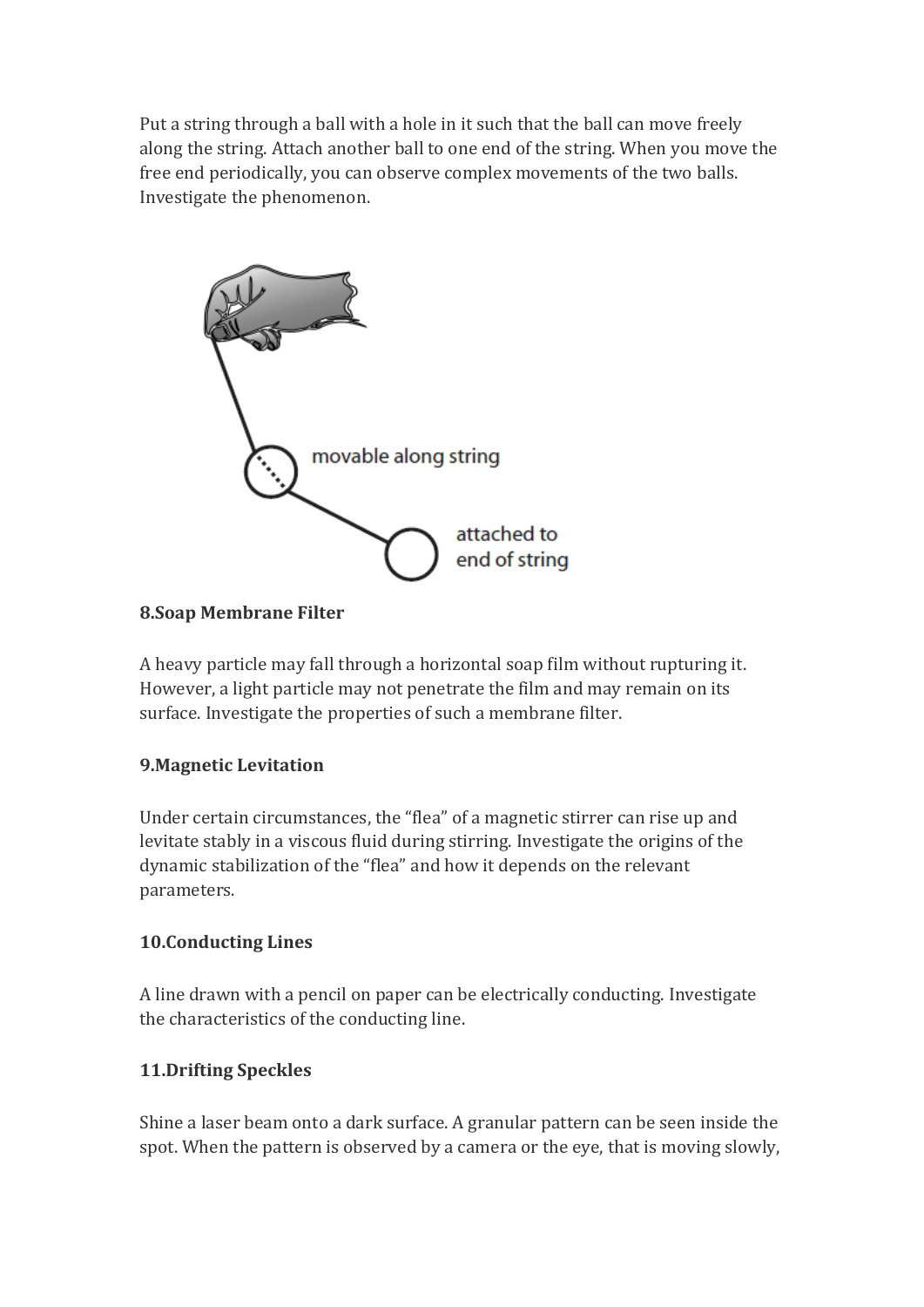Put a string through a ball with a hole in it such that the ball can move freely along the string. Attach another ball to one end of the string. When you move the free end periodically, you can observe complex movements of the two balls. Investigate the phenomenon.



## **8.Soap Membrane Filter**

A heavy particle may fall through a horizontal soap film without rupturing it. However, a light particle may not penetrate the film and may remain on its surface. Investigate the properties of such a membrane filter.

#### **9.Magnetic Levitation**

Under certain circumstances, the "flea" of a magnetic stirrer can rise up and levitate stably in a viscous fluid during stirring. Investigate the origins of the dynamic stabilization of the "flea" and how it depends on the relevant parameters.

#### **10.Conducting Lines**

A line drawn with a pencil on paper can be electrically conducting. Investigate the characteristics of the conducting line.

#### **11.Drifting Speckles**

Shine a laser beam onto a dark surface. A granular pattern can be seen inside the spot. When the pattern is observed by a camera or the eye, that is moving slowly,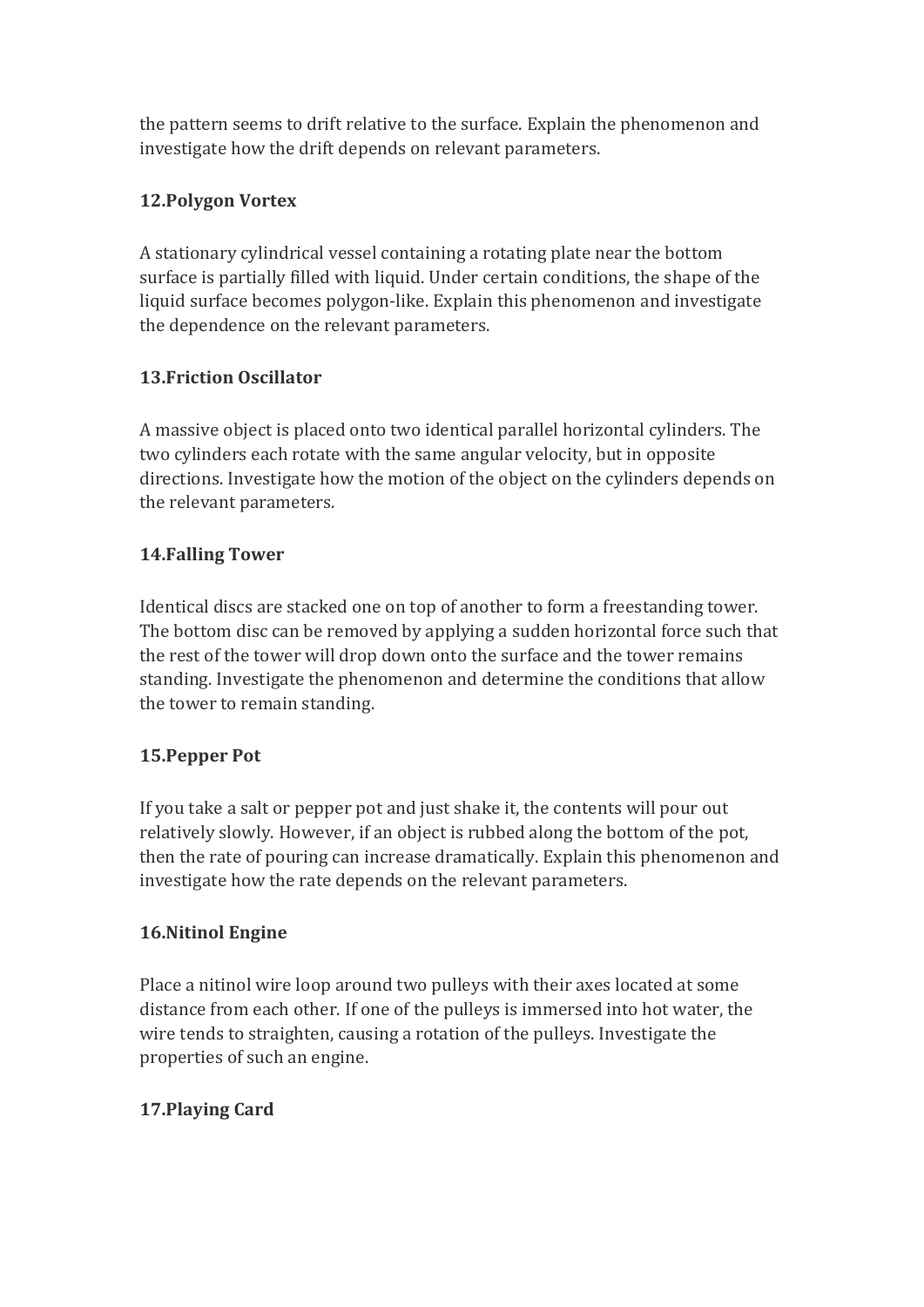the pattern seems to drift relative to the surface. Explain the phenomenon and investigate how the drift depends on relevant parameters.

# **12.Polygon Vortex**

A stationary cylindrical vessel containing a rotating plate near the bottom surface is partially filled with liquid. Under certain conditions, the shape of the liquid surface becomes polygon-like. Explain this phenomenon and investigate the dependence on the relevant parameters.

# **13.Friction Oscillator**

A massive object is placed onto two identical parallel horizontal cylinders. The two cylinders each rotate with the same angular velocity, but in opposite directions. Investigate how the motion of the object on the cylinders depends on the relevant parameters.

## **14.Falling Tower**

Identical discs are stacked one on top of another to form a freestanding tower. The bottom disc can be removed by applying a sudden horizontal force such that the rest of the tower will drop down onto the surface and the tower remains standing. Investigate the phenomenon and determine the conditions that allow the tower to remain standing.

#### **15.Pepper Pot**

If you take a salt or pepper pot and just shake it, the contents will pour out relatively slowly. However, if an object is rubbed along the bottom of the pot, then the rate of pouring can increase dramatically. Explain this phenomenon and investigate how the rate depends on the relevant parameters.

#### **16.Nitinol Engine**

Place a nitinol wire loop around two pulleys with their axes located at some distance from each other. If one of the pulleys is immersed into hot water, the wire tends to straighten, causing a rotation of the pulleys. Investigate the properties of such an engine.

# **17.Playing Card**